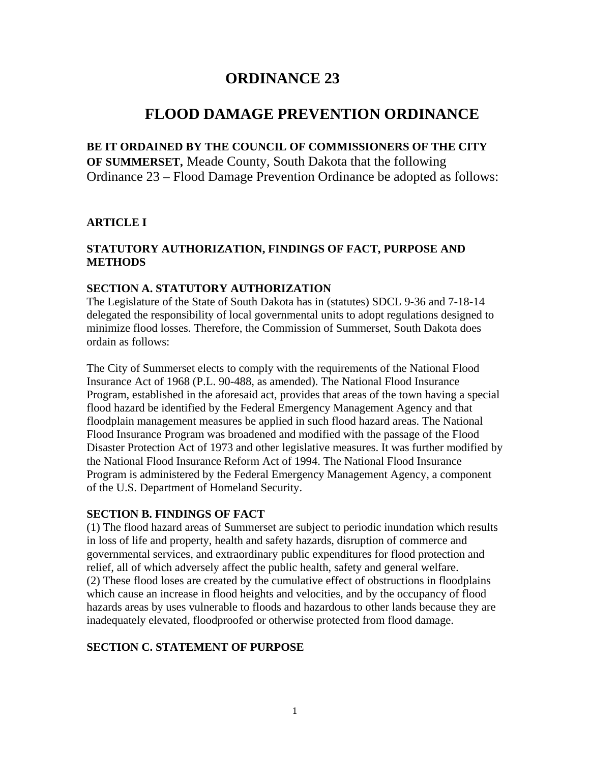# **ORDINANCE 23**

# **FLOOD DAMAGE PREVENTION ORDINANCE**

**BE IT ORDAINED BY THE COUNCIL OF COMMISSIONERS OF THE CITY OF SUMMERSET,** Meade County, South Dakota that the following Ordinance 23 – Flood Damage Prevention Ordinance be adopted as follows:

### **ARTICLE I**

### **STATUTORY AUTHORIZATION, FINDINGS OF FACT, PURPOSE AND METHODS**

#### **SECTION A. STATUTORY AUTHORIZATION**

The Legislature of the State of South Dakota has in (statutes) SDCL 9-36 and 7-18-14 delegated the responsibility of local governmental units to adopt regulations designed to minimize flood losses. Therefore, the Commission of Summerset, South Dakota does ordain as follows:

The City of Summerset elects to comply with the requirements of the National Flood Insurance Act of 1968 (P.L. 90-488, as amended). The National Flood Insurance Program, established in the aforesaid act, provides that areas of the town having a special flood hazard be identified by the Federal Emergency Management Agency and that floodplain management measures be applied in such flood hazard areas. The National Flood Insurance Program was broadened and modified with the passage of the Flood Disaster Protection Act of 1973 and other legislative measures. It was further modified by the National Flood Insurance Reform Act of 1994. The National Flood Insurance Program is administered by the Federal Emergency Management Agency, a component of the U.S. Department of Homeland Security.

#### **SECTION B. FINDINGS OF FACT**

(1) The flood hazard areas of Summerset are subject to periodic inundation which results in loss of life and property, health and safety hazards, disruption of commerce and governmental services, and extraordinary public expenditures for flood protection and relief, all of which adversely affect the public health, safety and general welfare. (2) These flood loses are created by the cumulative effect of obstructions in floodplains which cause an increase in flood heights and velocities, and by the occupancy of flood hazards areas by uses vulnerable to floods and hazardous to other lands because they are inadequately elevated, floodproofed or otherwise protected from flood damage.

#### **SECTION C. STATEMENT OF PURPOSE**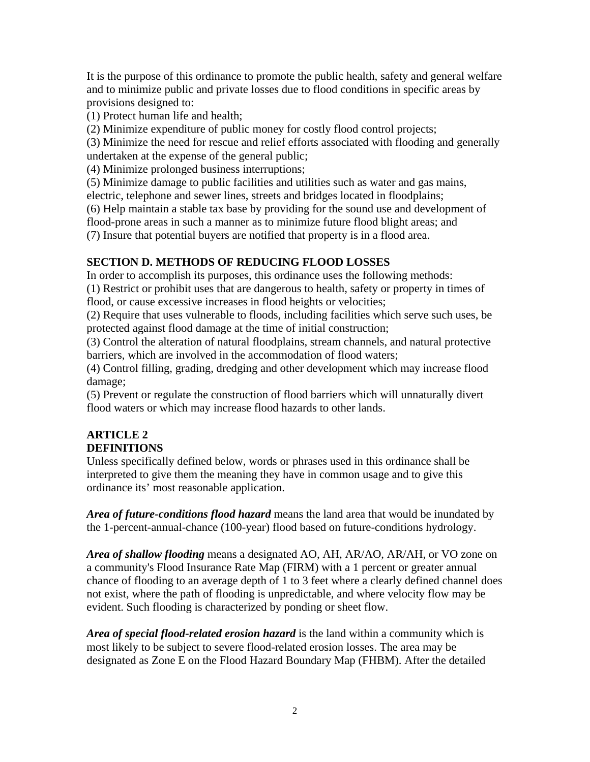It is the purpose of this ordinance to promote the public health, safety and general welfare and to minimize public and private losses due to flood conditions in specific areas by provisions designed to:

(1) Protect human life and health;

(2) Minimize expenditure of public money for costly flood control projects;

(3) Minimize the need for rescue and relief efforts associated with flooding and generally undertaken at the expense of the general public;

(4) Minimize prolonged business interruptions;

(5) Minimize damage to public facilities and utilities such as water and gas mains,

electric, telephone and sewer lines, streets and bridges located in floodplains;

(6) Help maintain a stable tax base by providing for the sound use and development of

flood-prone areas in such a manner as to minimize future flood blight areas; and

(7) Insure that potential buyers are notified that property is in a flood area.

# **SECTION D. METHODS OF REDUCING FLOOD LOSSES**

In order to accomplish its purposes, this ordinance uses the following methods:

(1) Restrict or prohibit uses that are dangerous to health, safety or property in times of flood, or cause excessive increases in flood heights or velocities;

(2) Require that uses vulnerable to floods, including facilities which serve such uses, be protected against flood damage at the time of initial construction;

(3) Control the alteration of natural floodplains, stream channels, and natural protective barriers, which are involved in the accommodation of flood waters;

(4) Control filling, grading, dredging and other development which may increase flood damage;

(5) Prevent or regulate the construction of flood barriers which will unnaturally divert flood waters or which may increase flood hazards to other lands.

#### **ARTICLE 2 DEFINITIONS**

Unless specifically defined below, words or phrases used in this ordinance shall be interpreted to give them the meaning they have in common usage and to give this ordinance its' most reasonable application.

*Area of future-conditions flood hazard* means the land area that would be inundated by the 1-percent-annual-chance (100-year) flood based on future-conditions hydrology.

*Area of shallow flooding* means a designated AO, AH, AR/AO, AR/AH, or VO zone on a community's Flood Insurance Rate Map (FIRM) with a 1 percent or greater annual chance of flooding to an average depth of 1 to 3 feet where a clearly defined channel does not exist, where the path of flooding is unpredictable, and where velocity flow may be evident. Such flooding is characterized by ponding or sheet flow.

*Area of special flood-related erosion hazard* is the land within a community which is most likely to be subject to severe flood-related erosion losses. The area may be designated as Zone E on the Flood Hazard Boundary Map (FHBM). After the detailed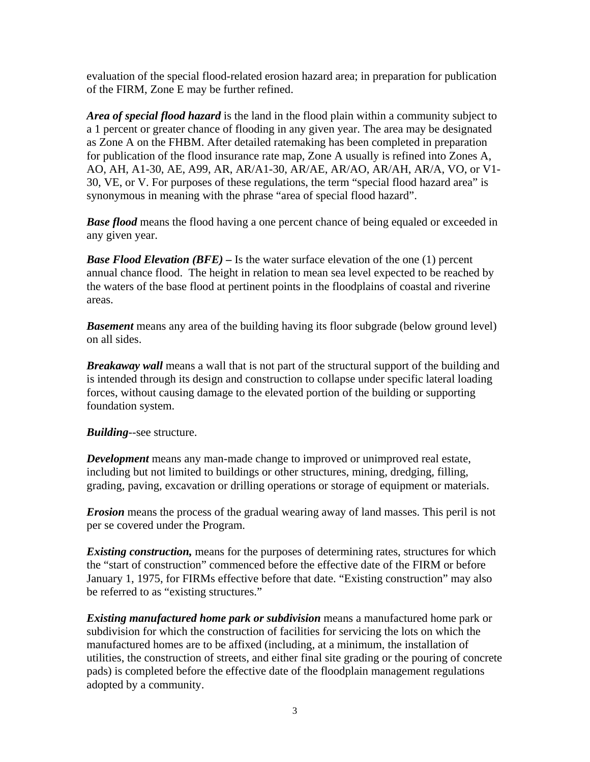evaluation of the special flood-related erosion hazard area; in preparation for publication of the FIRM, Zone E may be further refined.

*Area of special flood hazard* is the land in the flood plain within a community subject to a 1 percent or greater chance of flooding in any given year. The area may be designated as Zone A on the FHBM. After detailed ratemaking has been completed in preparation for publication of the flood insurance rate map, Zone A usually is refined into Zones A, AO, AH, A1-30, AE, A99, AR, AR/A1-30, AR/AE, AR/AO, AR/AH, AR/A, VO, or V1- 30, VE, or V. For purposes of these regulations, the term "special flood hazard area" is synonymous in meaning with the phrase "area of special flood hazard".

**Base flood** means the flood having a one percent chance of being equaled or exceeded in any given year.

*Base Flood Elevation (BFE) –* Is the water surface elevation of the one (1) percent annual chance flood. The height in relation to mean sea level expected to be reached by the waters of the base flood at pertinent points in the floodplains of coastal and riverine areas.

**Basement** means any area of the building having its floor subgrade (below ground level) on all sides.

*Breakaway wall* means a wall that is not part of the structural support of the building and is intended through its design and construction to collapse under specific lateral loading forces, without causing damage to the elevated portion of the building or supporting foundation system.

*Building*--see structure.

*Development* means any man-made change to improved or unimproved real estate, including but not limited to buildings or other structures, mining, dredging, filling, grading, paving, excavation or drilling operations or storage of equipment or materials.

*Erosion* means the process of the gradual wearing away of land masses. This peril is not per se covered under the Program.

*Existing construction,* means for the purposes of determining rates, structures for which the "start of construction" commenced before the effective date of the FIRM or before January 1, 1975, for FIRMs effective before that date. "Existing construction" may also be referred to as "existing structures."

*Existing manufactured home park or subdivision* means a manufactured home park or subdivision for which the construction of facilities for servicing the lots on which the manufactured homes are to be affixed (including, at a minimum, the installation of utilities, the construction of streets, and either final site grading or the pouring of concrete pads) is completed before the effective date of the floodplain management regulations adopted by a community.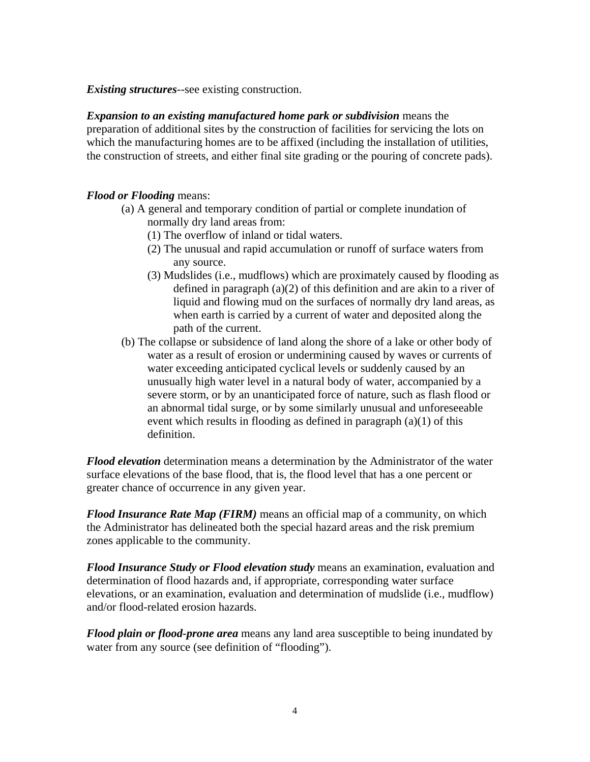*Existing structures*--see existing construction.

*Expansion to an existing manufactured home park or subdivision* means the preparation of additional sites by the construction of facilities for servicing the lots on which the manufacturing homes are to be affixed (including the installation of utilities, the construction of streets, and either final site grading or the pouring of concrete pads).

#### *Flood or Flooding* means:

- (a) A general and temporary condition of partial or complete inundation of normally dry land areas from:
	- (1) The overflow of inland or tidal waters.
	- (2) The unusual and rapid accumulation or runoff of surface waters from any source.
	- (3) Mudslides (i.e., mudflows) which are proximately caused by flooding as defined in paragraph (a)(2) of this definition and are akin to a river of liquid and flowing mud on the surfaces of normally dry land areas, as when earth is carried by a current of water and deposited along the path of the current.
- (b) The collapse or subsidence of land along the shore of a lake or other body of water as a result of erosion or undermining caused by waves or currents of water exceeding anticipated cyclical levels or suddenly caused by an unusually high water level in a natural body of water, accompanied by a severe storm, or by an unanticipated force of nature, such as flash flood or an abnormal tidal surge, or by some similarly unusual and unforeseeable event which results in flooding as defined in paragraph (a)(1) of this definition.

*Flood elevation* determination means a determination by the Administrator of the water surface elevations of the base flood, that is, the flood level that has a one percent or greater chance of occurrence in any given year.

*Flood Insurance Rate Map (FIRM)* means an official map of a community, on which the Administrator has delineated both the special hazard areas and the risk premium zones applicable to the community.

*Flood Insurance Study or Flood elevation study* means an examination, evaluation and determination of flood hazards and, if appropriate, corresponding water surface elevations, or an examination, evaluation and determination of mudslide (i.e., mudflow) and/or flood-related erosion hazards.

*Flood plain or flood-prone area* means any land area susceptible to being inundated by water from any source (see definition of "flooding").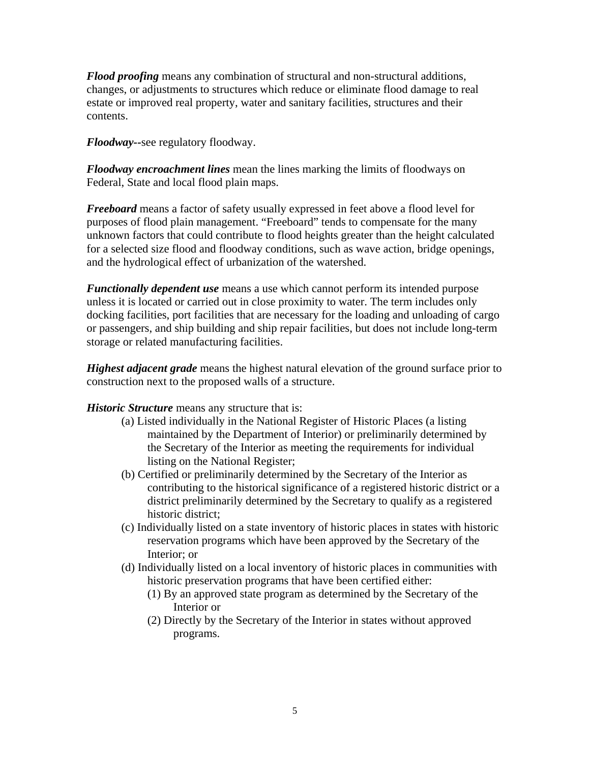*Flood proofing* means any combination of structural and non-structural additions, changes, or adjustments to structures which reduce or eliminate flood damage to real estate or improved real property, water and sanitary facilities, structures and their contents.

*Floodway--*see regulatory floodway.

*Floodway encroachment lines* mean the lines marking the limits of floodways on Federal, State and local flood plain maps.

*Freeboard* means a factor of safety usually expressed in feet above a flood level for purposes of flood plain management. "Freeboard" tends to compensate for the many unknown factors that could contribute to flood heights greater than the height calculated for a selected size flood and floodway conditions, such as wave action, bridge openings, and the hydrological effect of urbanization of the watershed.

*Functionally dependent use* means a use which cannot perform its intended purpose unless it is located or carried out in close proximity to water. The term includes only docking facilities, port facilities that are necessary for the loading and unloading of cargo or passengers, and ship building and ship repair facilities, but does not include long-term storage or related manufacturing facilities.

*Highest adjacent grade* means the highest natural elevation of the ground surface prior to construction next to the proposed walls of a structure.

*Historic Structure* means any structure that is:

- (a) Listed individually in the National Register of Historic Places (a listing maintained by the Department of Interior) or preliminarily determined by the Secretary of the Interior as meeting the requirements for individual listing on the National Register;
- (b) Certified or preliminarily determined by the Secretary of the Interior as contributing to the historical significance of a registered historic district or a district preliminarily determined by the Secretary to qualify as a registered historic district;
- (c) Individually listed on a state inventory of historic places in states with historic reservation programs which have been approved by the Secretary of the Interior; or
- (d) Individually listed on a local inventory of historic places in communities with historic preservation programs that have been certified either:
	- (1) By an approved state program as determined by the Secretary of the Interior or
	- (2) Directly by the Secretary of the Interior in states without approved programs.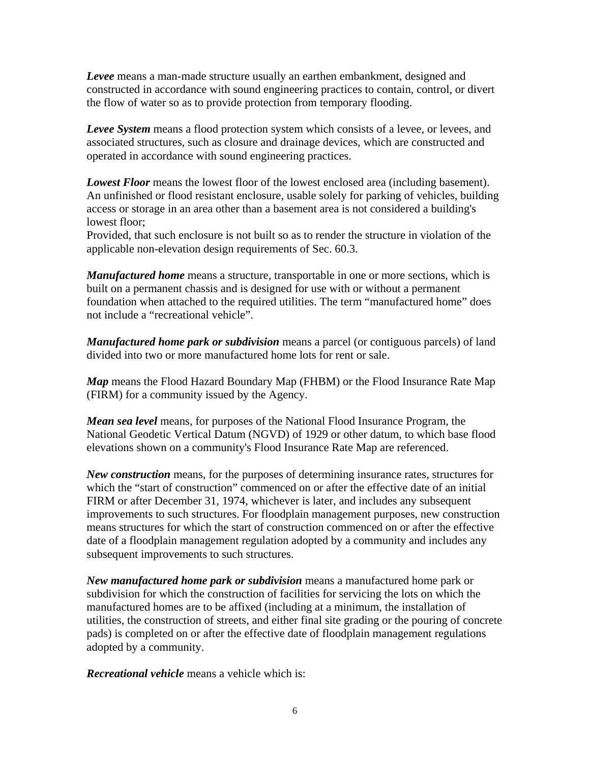*Levee* means a man-made structure usually an earthen embankment, designed and constructed in accordance with sound engineering practices to contain, control, or divert the flow of water so as to provide protection from temporary flooding.

*Levee System* means a flood protection system which consists of a levee, or levees, and associated structures, such as closure and drainage devices, which are constructed and operated in accordance with sound engineering practices.

*Lowest Floor* means the lowest floor of the lowest enclosed area (including basement). An unfinished or flood resistant enclosure, usable solely for parking of vehicles, building access or storage in an area other than a basement area is not considered a building's lowest floor;

Provided, that such enclosure is not built so as to render the structure in violation of the applicable non-elevation design requirements of Sec. 60.3.

*Manufactured home* means a structure, transportable in one or more sections, which is built on a permanent chassis and is designed for use with or without a permanent foundation when attached to the required utilities. The term "manufactured home" does not include a "recreational vehicle".

*Manufactured home park or subdivision* means a parcel (or contiguous parcels) of land divided into two or more manufactured home lots for rent or sale.

*Map* means the Flood Hazard Boundary Map (FHBM) or the Flood Insurance Rate Map (FIRM) for a community issued by the Agency.

*Mean sea level* means, for purposes of the National Flood Insurance Program, the National Geodetic Vertical Datum (NGVD) of 1929 or other datum, to which base flood elevations shown on a community's Flood Insurance Rate Map are referenced.

*New construction* means, for the purposes of determining insurance rates, structures for which the "start of construction" commenced on or after the effective date of an initial FIRM or after December 31, 1974, whichever is later, and includes any subsequent improvements to such structures. For floodplain management purposes, new construction means structures for which the start of construction commenced on or after the effective date of a floodplain management regulation adopted by a community and includes any subsequent improvements to such structures.

*New manufactured home park or subdivision* means a manufactured home park or subdivision for which the construction of facilities for servicing the lots on which the manufactured homes are to be affixed (including at a minimum, the installation of utilities, the construction of streets, and either final site grading or the pouring of concrete pads) is completed on or after the effective date of floodplain management regulations adopted by a community.

*Recreational vehicle* means a vehicle which is: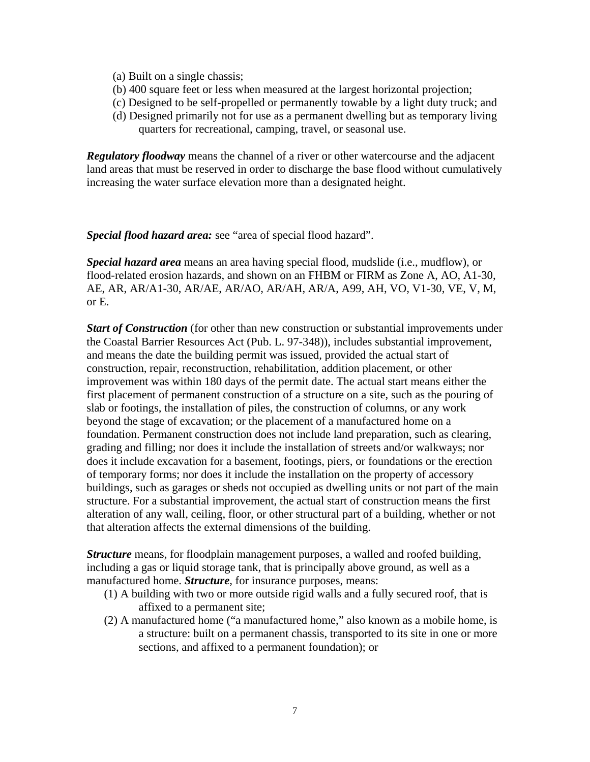- (a) Built on a single chassis;
- (b) 400 square feet or less when measured at the largest horizontal projection;
- (c) Designed to be self-propelled or permanently towable by a light duty truck; and
- (d) Designed primarily not for use as a permanent dwelling but as temporary living quarters for recreational, camping, travel, or seasonal use.

*Regulatory floodway* means the channel of a river or other watercourse and the adjacent land areas that must be reserved in order to discharge the base flood without cumulatively increasing the water surface elevation more than a designated height.

*Special flood hazard area:* see "area of special flood hazard".

*Special hazard area* means an area having special flood, mudslide (i.e., mudflow), or flood-related erosion hazards, and shown on an FHBM or FIRM as Zone A, AO, A1-30, AE, AR, AR/A1-30, AR/AE, AR/AO, AR/AH, AR/A, A99, AH, VO, V1-30, VE, V, M, or E.

*Start of Construction* (for other than new construction or substantial improvements under the Coastal Barrier Resources Act (Pub. L. 97-348)), includes substantial improvement, and means the date the building permit was issued, provided the actual start of construction, repair, reconstruction, rehabilitation, addition placement, or other improvement was within 180 days of the permit date. The actual start means either the first placement of permanent construction of a structure on a site, such as the pouring of slab or footings, the installation of piles, the construction of columns, or any work beyond the stage of excavation; or the placement of a manufactured home on a foundation. Permanent construction does not include land preparation, such as clearing, grading and filling; nor does it include the installation of streets and/or walkways; nor does it include excavation for a basement, footings, piers, or foundations or the erection of temporary forms; nor does it include the installation on the property of accessory buildings, such as garages or sheds not occupied as dwelling units or not part of the main structure. For a substantial improvement, the actual start of construction means the first alteration of any wall, ceiling, floor, or other structural part of a building, whether or not that alteration affects the external dimensions of the building.

*Structure* means, for floodplain management purposes, a walled and roofed building, including a gas or liquid storage tank, that is principally above ground, as well as a manufactured home. *Structure*, for insurance purposes, means:

- (1) A building with two or more outside rigid walls and a fully secured roof, that is affixed to a permanent site;
- (2) A manufactured home ("a manufactured home," also known as a mobile home, is a structure: built on a permanent chassis, transported to its site in one or more sections, and affixed to a permanent foundation); or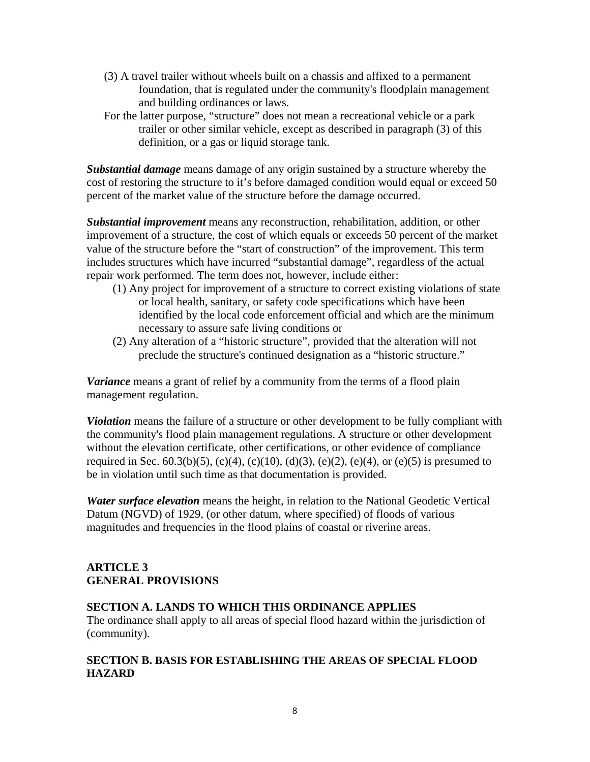- (3) A travel trailer without wheels built on a chassis and affixed to a permanent foundation, that is regulated under the community's floodplain management and building ordinances or laws.
- For the latter purpose, "structure" does not mean a recreational vehicle or a park trailer or other similar vehicle, except as described in paragraph (3) of this definition, or a gas or liquid storage tank.

*Substantial damage* means damage of any origin sustained by a structure whereby the cost of restoring the structure to it's before damaged condition would equal or exceed 50 percent of the market value of the structure before the damage occurred.

*Substantial improvement* means any reconstruction, rehabilitation, addition, or other improvement of a structure, the cost of which equals or exceeds 50 percent of the market value of the structure before the "start of construction" of the improvement. This term includes structures which have incurred "substantial damage", regardless of the actual repair work performed. The term does not, however, include either:

- (1) Any project for improvement of a structure to correct existing violations of state or local health, sanitary, or safety code specifications which have been identified by the local code enforcement official and which are the minimum necessary to assure safe living conditions or
- (2) Any alteration of a "historic structure", provided that the alteration will not preclude the structure's continued designation as a "historic structure."

*Variance* means a grant of relief by a community from the terms of a flood plain management regulation.

*Violation* means the failure of a structure or other development to be fully compliant with the community's flood plain management regulations. A structure or other development without the elevation certificate, other certifications, or other evidence of compliance required in Sec. 60.3(b)(5), (c)(4), (c)(10), (d)(3), (e)(2), (e)(4), or (e)(5) is presumed to be in violation until such time as that documentation is provided.

*Water surface elevation* means the height, in relation to the National Geodetic Vertical Datum (NGVD) of 1929, (or other datum, where specified) of floods of various magnitudes and frequencies in the flood plains of coastal or riverine areas.

# **ARTICLE 3 GENERAL PROVISIONS**

# **SECTION A. LANDS TO WHICH THIS ORDINANCE APPLIES**

The ordinance shall apply to all areas of special flood hazard within the jurisdiction of (community).

# **SECTION B. BASIS FOR ESTABLISHING THE AREAS OF SPECIAL FLOOD HAZARD**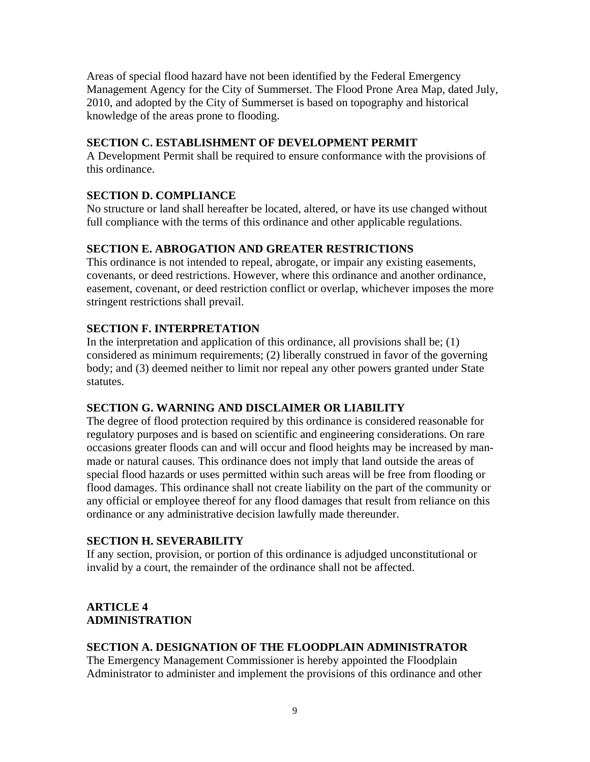Areas of special flood hazard have not been identified by the Federal Emergency Management Agency for the City of Summerset. The Flood Prone Area Map, dated July, 2010, and adopted by the City of Summerset is based on topography and historical knowledge of the areas prone to flooding.

# **SECTION C. ESTABLISHMENT OF DEVELOPMENT PERMIT**

A Development Permit shall be required to ensure conformance with the provisions of this ordinance.

# **SECTION D. COMPLIANCE**

No structure or land shall hereafter be located, altered, or have its use changed without full compliance with the terms of this ordinance and other applicable regulations.

# **SECTION E. ABROGATION AND GREATER RESTRICTIONS**

This ordinance is not intended to repeal, abrogate, or impair any existing easements, covenants, or deed restrictions. However, where this ordinance and another ordinance, easement, covenant, or deed restriction conflict or overlap, whichever imposes the more stringent restrictions shall prevail.

# **SECTION F. INTERPRETATION**

In the interpretation and application of this ordinance, all provisions shall be; (1) considered as minimum requirements; (2) liberally construed in favor of the governing body; and (3) deemed neither to limit nor repeal any other powers granted under State statutes.

# **SECTION G. WARNING AND DISCLAIMER OR LIABILITY**

The degree of flood protection required by this ordinance is considered reasonable for regulatory purposes and is based on scientific and engineering considerations. On rare occasions greater floods can and will occur and flood heights may be increased by manmade or natural causes. This ordinance does not imply that land outside the areas of special flood hazards or uses permitted within such areas will be free from flooding or flood damages. This ordinance shall not create liability on the part of the community or any official or employee thereof for any flood damages that result from reliance on this ordinance or any administrative decision lawfully made thereunder.

# **SECTION H. SEVERABILITY**

If any section, provision, or portion of this ordinance is adjudged unconstitutional or invalid by a court, the remainder of the ordinance shall not be affected.

# **ARTICLE 4 ADMINISTRATION**

# **SECTION A. DESIGNATION OF THE FLOODPLAIN ADMINISTRATOR**

The Emergency Management Commissioner is hereby appointed the Floodplain Administrator to administer and implement the provisions of this ordinance and other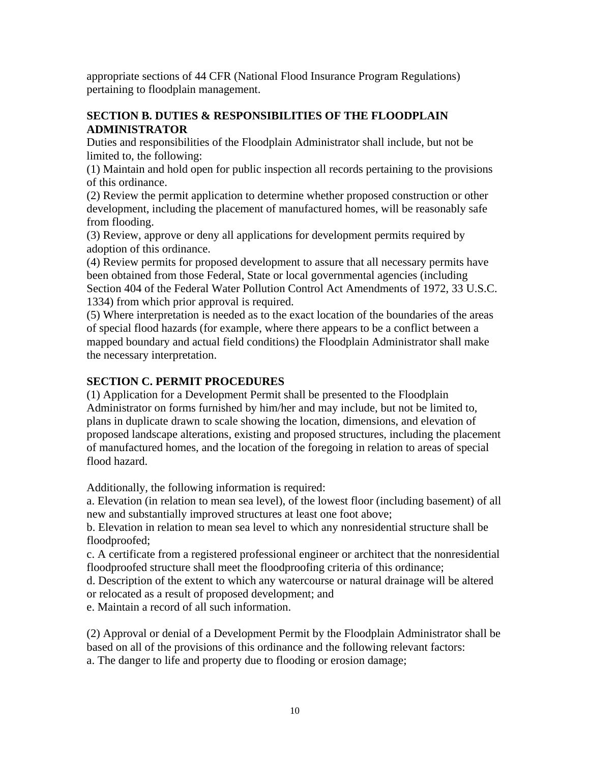appropriate sections of 44 CFR (National Flood Insurance Program Regulations) pertaining to floodplain management.

# **SECTION B. DUTIES & RESPONSIBILITIES OF THE FLOODPLAIN ADMINISTRATOR**

Duties and responsibilities of the Floodplain Administrator shall include, but not be limited to, the following:

(1) Maintain and hold open for public inspection all records pertaining to the provisions of this ordinance.

(2) Review the permit application to determine whether proposed construction or other development, including the placement of manufactured homes, will be reasonably safe from flooding.

(3) Review, approve or deny all applications for development permits required by adoption of this ordinance.

(4) Review permits for proposed development to assure that all necessary permits have been obtained from those Federal, State or local governmental agencies (including Section 404 of the Federal Water Pollution Control Act Amendments of 1972, 33 U.S.C. 1334) from which prior approval is required.

(5) Where interpretation is needed as to the exact location of the boundaries of the areas of special flood hazards (for example, where there appears to be a conflict between a mapped boundary and actual field conditions) the Floodplain Administrator shall make the necessary interpretation.

# **SECTION C. PERMIT PROCEDURES**

(1) Application for a Development Permit shall be presented to the Floodplain Administrator on forms furnished by him/her and may include, but not be limited to, plans in duplicate drawn to scale showing the location, dimensions, and elevation of proposed landscape alterations, existing and proposed structures, including the placement of manufactured homes, and the location of the foregoing in relation to areas of special flood hazard.

Additionally, the following information is required:

a. Elevation (in relation to mean sea level), of the lowest floor (including basement) of all new and substantially improved structures at least one foot above;

b. Elevation in relation to mean sea level to which any nonresidential structure shall be floodproofed;

c. A certificate from a registered professional engineer or architect that the nonresidential floodproofed structure shall meet the floodproofing criteria of this ordinance;

d. Description of the extent to which any watercourse or natural drainage will be altered or relocated as a result of proposed development; and

e. Maintain a record of all such information.

(2) Approval or denial of a Development Permit by the Floodplain Administrator shall be based on all of the provisions of this ordinance and the following relevant factors: a. The danger to life and property due to flooding or erosion damage;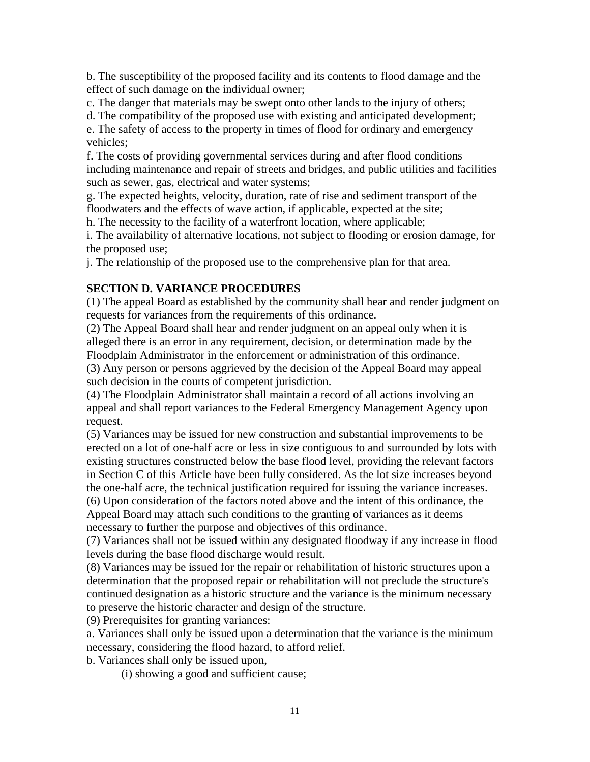b. The susceptibility of the proposed facility and its contents to flood damage and the effect of such damage on the individual owner;

c. The danger that materials may be swept onto other lands to the injury of others;

d. The compatibility of the proposed use with existing and anticipated development;

e. The safety of access to the property in times of flood for ordinary and emergency vehicles;

f. The costs of providing governmental services during and after flood conditions including maintenance and repair of streets and bridges, and public utilities and facilities such as sewer, gas, electrical and water systems;

g. The expected heights, velocity, duration, rate of rise and sediment transport of the floodwaters and the effects of wave action, if applicable, expected at the site;

h. The necessity to the facility of a waterfront location, where applicable;

i. The availability of alternative locations, not subject to flooding or erosion damage, for the proposed use;

j. The relationship of the proposed use to the comprehensive plan for that area.

# **SECTION D. VARIANCE PROCEDURES**

(1) The appeal Board as established by the community shall hear and render judgment on requests for variances from the requirements of this ordinance.

(2) The Appeal Board shall hear and render judgment on an appeal only when it is alleged there is an error in any requirement, decision, or determination made by the Floodplain Administrator in the enforcement or administration of this ordinance.

(3) Any person or persons aggrieved by the decision of the Appeal Board may appeal such decision in the courts of competent jurisdiction.

(4) The Floodplain Administrator shall maintain a record of all actions involving an appeal and shall report variances to the Federal Emergency Management Agency upon request.

(5) Variances may be issued for new construction and substantial improvements to be erected on a lot of one-half acre or less in size contiguous to and surrounded by lots with existing structures constructed below the base flood level, providing the relevant factors in Section C of this Article have been fully considered. As the lot size increases beyond the one-half acre, the technical justification required for issuing the variance increases. (6) Upon consideration of the factors noted above and the intent of this ordinance, the Appeal Board may attach such conditions to the granting of variances as it deems

necessary to further the purpose and objectives of this ordinance.

(7) Variances shall not be issued within any designated floodway if any increase in flood levels during the base flood discharge would result.

(8) Variances may be issued for the repair or rehabilitation of historic structures upon a determination that the proposed repair or rehabilitation will not preclude the structure's continued designation as a historic structure and the variance is the minimum necessary to preserve the historic character and design of the structure.

(9) Prerequisites for granting variances:

a. Variances shall only be issued upon a determination that the variance is the minimum necessary, considering the flood hazard, to afford relief.

b. Variances shall only be issued upon,

(i) showing a good and sufficient cause;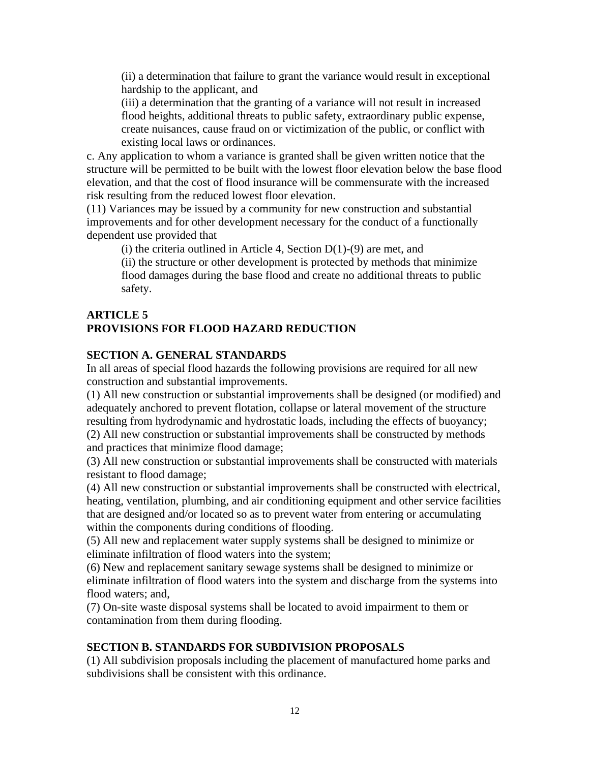(ii) a determination that failure to grant the variance would result in exceptional hardship to the applicant, and

(iii) a determination that the granting of a variance will not result in increased flood heights, additional threats to public safety, extraordinary public expense, create nuisances, cause fraud on or victimization of the public, or conflict with existing local laws or ordinances.

c. Any application to whom a variance is granted shall be given written notice that the structure will be permitted to be built with the lowest floor elevation below the base flood elevation, and that the cost of flood insurance will be commensurate with the increased risk resulting from the reduced lowest floor elevation.

(11) Variances may be issued by a community for new construction and substantial improvements and for other development necessary for the conduct of a functionally dependent use provided that

(i) the criteria outlined in Article 4, Section  $D(1)-(9)$  are met, and

(ii) the structure or other development is protected by methods that minimize flood damages during the base flood and create no additional threats to public safety.

### **ARTICLE 5 PROVISIONS FOR FLOOD HAZARD REDUCTION**

# **SECTION A. GENERAL STANDARDS**

In all areas of special flood hazards the following provisions are required for all new construction and substantial improvements.

(1) All new construction or substantial improvements shall be designed (or modified) and adequately anchored to prevent flotation, collapse or lateral movement of the structure resulting from hydrodynamic and hydrostatic loads, including the effects of buoyancy; (2) All new construction or substantial improvements shall be constructed by methods and practices that minimize flood damage;

(3) All new construction or substantial improvements shall be constructed with materials resistant to flood damage;

(4) All new construction or substantial improvements shall be constructed with electrical, heating, ventilation, plumbing, and air conditioning equipment and other service facilities that are designed and/or located so as to prevent water from entering or accumulating within the components during conditions of flooding.

(5) All new and replacement water supply systems shall be designed to minimize or eliminate infiltration of flood waters into the system;

(6) New and replacement sanitary sewage systems shall be designed to minimize or eliminate infiltration of flood waters into the system and discharge from the systems into flood waters; and,

(7) On-site waste disposal systems shall be located to avoid impairment to them or contamination from them during flooding.

# **SECTION B. STANDARDS FOR SUBDIVISION PROPOSALS**

(1) All subdivision proposals including the placement of manufactured home parks and subdivisions shall be consistent with this ordinance.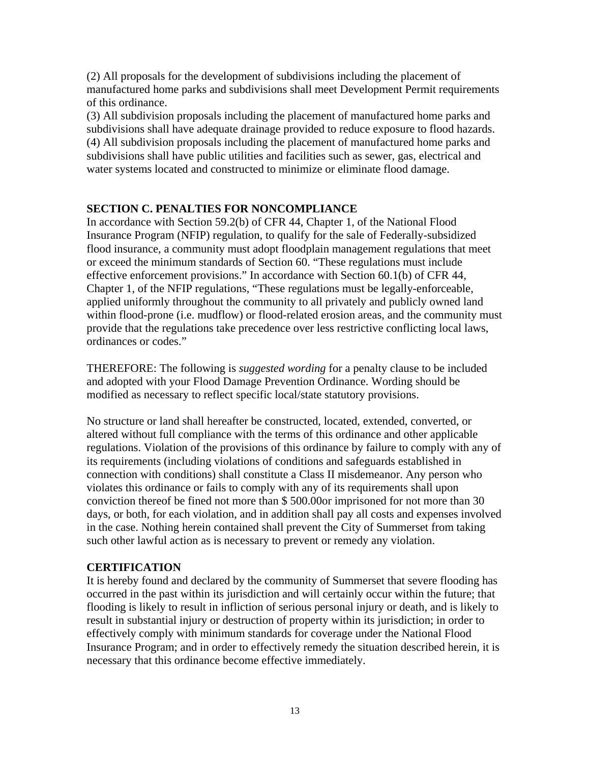(2) All proposals for the development of subdivisions including the placement of manufactured home parks and subdivisions shall meet Development Permit requirements of this ordinance.

(3) All subdivision proposals including the placement of manufactured home parks and subdivisions shall have adequate drainage provided to reduce exposure to flood hazards. (4) All subdivision proposals including the placement of manufactured home parks and subdivisions shall have public utilities and facilities such as sewer, gas, electrical and water systems located and constructed to minimize or eliminate flood damage.

#### **SECTION C. PENALTIES FOR NONCOMPLIANCE**

In accordance with Section 59.2(b) of CFR 44, Chapter 1, of the National Flood Insurance Program (NFIP) regulation, to qualify for the sale of Federally-subsidized flood insurance, a community must adopt floodplain management regulations that meet or exceed the minimum standards of Section 60. "These regulations must include effective enforcement provisions." In accordance with Section 60.1(b) of CFR 44, Chapter 1, of the NFIP regulations, "These regulations must be legally-enforceable, applied uniformly throughout the community to all privately and publicly owned land within flood-prone (i.e. mudflow) or flood-related erosion areas, and the community must provide that the regulations take precedence over less restrictive conflicting local laws, ordinances or codes."

THEREFORE: The following is *suggested wording* for a penalty clause to be included and adopted with your Flood Damage Prevention Ordinance. Wording should be modified as necessary to reflect specific local/state statutory provisions.

No structure or land shall hereafter be constructed, located, extended, converted, or altered without full compliance with the terms of this ordinance and other applicable regulations. Violation of the provisions of this ordinance by failure to comply with any of its requirements (including violations of conditions and safeguards established in connection with conditions) shall constitute a Class II misdemeanor. Any person who violates this ordinance or fails to comply with any of its requirements shall upon conviction thereof be fined not more than \$ 500.00or imprisoned for not more than 30 days, or both, for each violation, and in addition shall pay all costs and expenses involved in the case. Nothing herein contained shall prevent the City of Summerset from taking such other lawful action as is necessary to prevent or remedy any violation.

#### **CERTIFICATION**

It is hereby found and declared by the community of Summerset that severe flooding has occurred in the past within its jurisdiction and will certainly occur within the future; that flooding is likely to result in infliction of serious personal injury or death, and is likely to result in substantial injury or destruction of property within its jurisdiction; in order to effectively comply with minimum standards for coverage under the National Flood Insurance Program; and in order to effectively remedy the situation described herein, it is necessary that this ordinance become effective immediately.